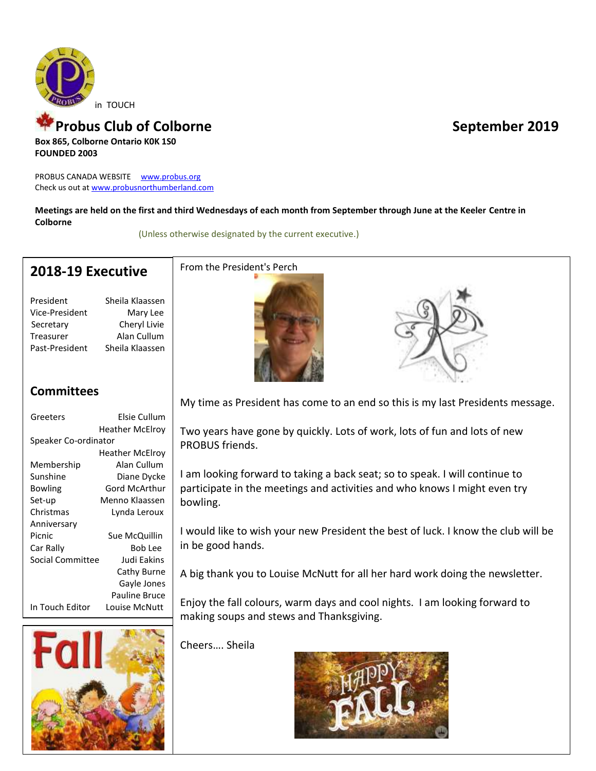

#### Probus Club of Colborne **September 2019 Box 865, Colborne Ontario K0K 1S0**

**FOUNDED 2003**

PROBUS CANADA WEBSITE [www.probus.org](http://www.probus.org/) Check us out at [www.probusnorthumberland.com](http://www.probusnorthumberland.com/)

**Meetings are held on the first and third Wednesdays of each month from September through June at the Keeler Centre in Colborne**

(Unless otherwise designated by the current executive.)

## **2018-19 Executive**

President Sheila Klaassen Vice-President Mary Lee Secretary Cheryl Livie Treasurer Alan Cullum Past-President Sheila Klaassen

## **Committees**

| Greeters                | Elsie Cullum         |
|-------------------------|----------------------|
|                         | Heather McElrov      |
| Speaker Co-ordinator    |                      |
|                         | Heather McElrov      |
| Membership              | Alan Cullum          |
| Sunshine                | Diane Dycke          |
| Bowling                 | Gord McArthur        |
| Set-up                  | Menno Klaassen       |
| Christmas               | Lynda Leroux         |
| Anniversary             |                      |
| Picnic                  | Sue McQuillin        |
| Car Rally               | Bob Lee              |
| <b>Social Committee</b> | Judi Eakins          |
|                         | Cathy Burne          |
|                         | Gayle Jones          |
|                         | <b>Pauline Bruce</b> |
| In Touch Editor         | Louise McNutt        |



### From the President's Perch





My time as President has come to an end so this is my last Presidents message.

Two years have gone by quickly. Lots of work, lots of fun and lots of new PROBUS friends.

I am looking forward to taking a back seat; so to speak. I will continue to participate in the meetings and activities and who knows I might even try bowling.

I would like to wish your new President the best of luck. I know the club will be in be good hands.

A big thank you to Louise McNutt for all her hard work doing the newsletter.

Enjoy the fall colours, warm days and cool nights. I am looking forward to making soups and stews and Thanksgiving.

Cheers…. Sheila

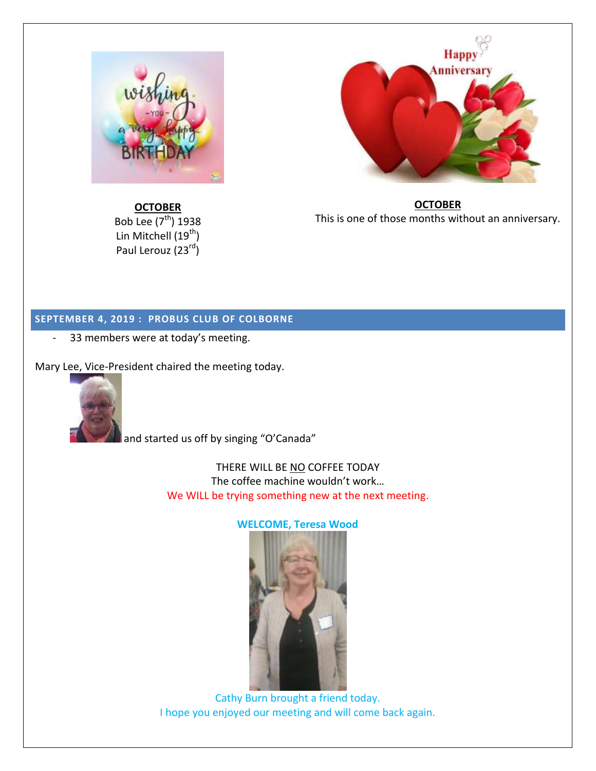

**OCTOBER** Bob Lee  $(7<sup>th</sup>)$  1938 Lin Mitchell  $(19^{th})$ Paul Lerouz (23rd)



**OCTOBER** This is one of those months without an anniversary.

### **SEPTEMBER 4, 2019 : PROBUS CLUB OF COLBORNE**

- 33 members were at today's meeting.

Mary Lee, Vice-President chaired the meeting today.



and started us off by singing "O'Canada"

THERE WILL BE NO COFFEE TODAY The coffee machine wouldn't work… We WILL be trying something new at the next meeting.

#### **WELCOME, Teresa Wood**



Cathy Burn brought a friend today. I hope you enjoyed our meeting and will come back again.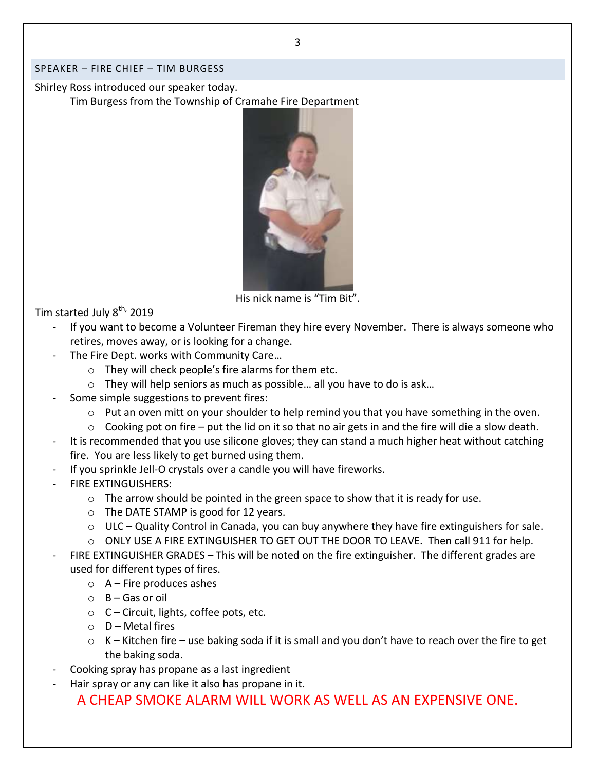#### SPEAKER – FIRE CHIEF – TIM BURGESS

Shirley Ross introduced our speaker today. Tim Burgess from the Township of Cramahe Fire Department



His nick name is "Tim Bit".

Tim started July 8<sup>th,</sup> 2019

- If you want to become a Volunteer Fireman they hire every November. There is always someone who retires, moves away, or is looking for a change.
- The Fire Dept. works with Community Care…
	- o They will check people's fire alarms for them etc.
	- o They will help seniors as much as possible… all you have to do is ask…
- Some simple suggestions to prevent fires:
	- o Put an oven mitt on your shoulder to help remind you that you have something in the oven.
	- $\circ$  Cooking pot on fire put the lid on it so that no air gets in and the fire will die a slow death.
- It is recommended that you use silicone gloves; they can stand a much higher heat without catching fire. You are less likely to get burned using them.
- If you sprinkle Jell-O crystals over a candle you will have fireworks.
- FIRE EXTINGUISHERS:
	- $\circ$  The arrow should be pointed in the green space to show that it is ready for use.
	- o The DATE STAMP is good for 12 years.
	- $\circ$  ULC Quality Control in Canada, you can buy anywhere they have fire extinguishers for sale.
	- $\circ$  ONLY USE A FIRE EXTINGUISHER TO GET OUT THE DOOR TO LEAVE. Then call 911 for help.
- FIRE EXTINGUISHER GRADES This will be noted on the fire extinguisher. The different grades are used for different types of fires.
	- $\circ$  A Fire produces ashes
	- $O$  B Gas or oil
	- $\circ$  C Circuit, lights, coffee pots, etc.
	- $O$  D Metal fires
	- o K Kitchen fire use baking soda if it is small and you don't have to reach over the fire to get the baking soda.
- Cooking spray has propane as a last ingredient
- Hair spray or any can like it also has propane in it.

A CHEAP SMOKE ALARM WILL WORK AS WELL AS AN EXPENSIVE ONE.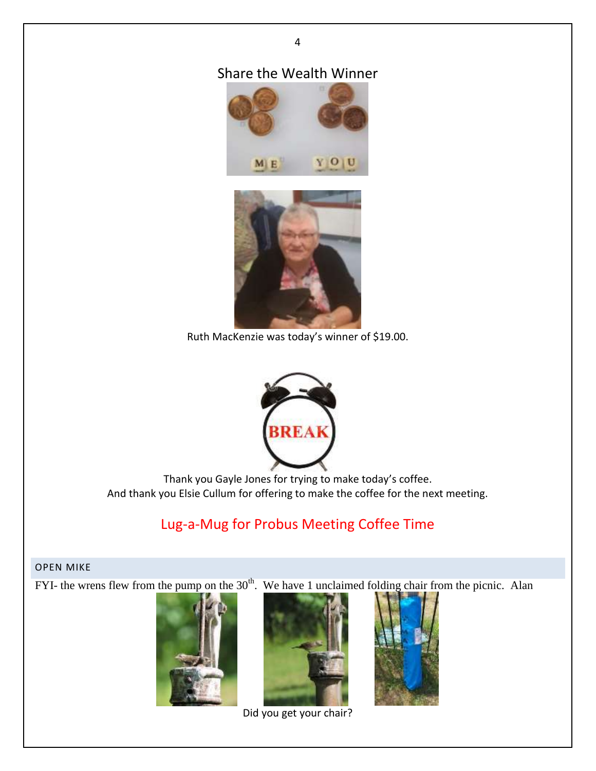## Share the Wealth Winner

4





Ruth MacKenzie was today's winner of \$19.00.



Thank you Gayle Jones for trying to make today's coffee. And thank you Elsie Cullum for offering to make the coffee for the next meeting.

## Lug-a-Mug for Probus Meeting Coffee Time

#### OPEN MIKE

FYI- the wrens flew from the pump on the  $30<sup>th</sup>$ . We have 1 unclaimed folding chair from the picnic. Alan









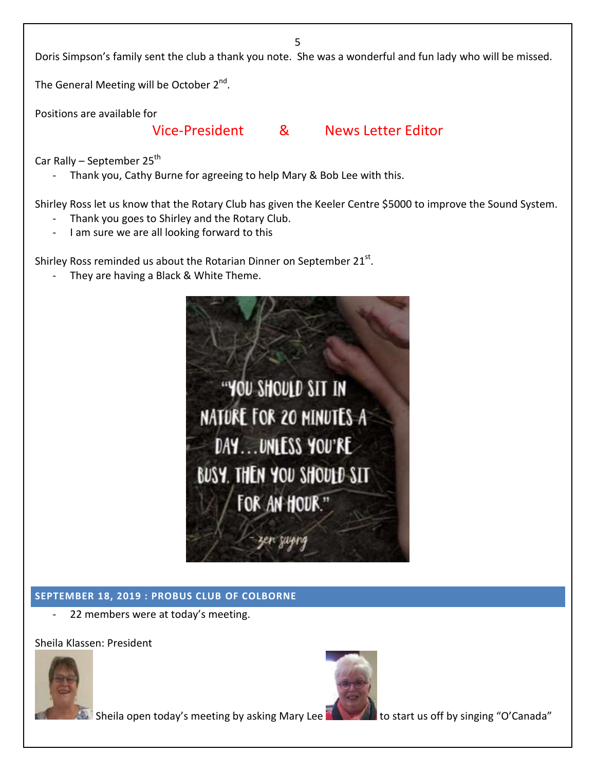5

Doris Simpson's family sent the club a thank you note. She was a wonderful and fun lady who will be missed.

The General Meeting will be October 2<sup>nd</sup>.

Positions are available for

#### Vice-President & News Letter Editor

Car Rally – September  $25<sup>th</sup>$ 

Thank you, Cathy Burne for agreeing to help Mary & Bob Lee with this.

Shirley Ross let us know that the Rotary Club has given the Keeler Centre \$5000 to improve the Sound System.

- Thank you goes to Shirley and the Rotary Club.
- I am sure we are all looking forward to this

Shirley Ross reminded us about the Rotarian Dinner on September 21 $^{\text{st}}$ .

They are having a Black & White Theme.



#### **SEPTEMBER 18, 2019 : PROBUS CLUB OF COLBORNE**

22 members were at today's meeting.

Sheila Klassen: President



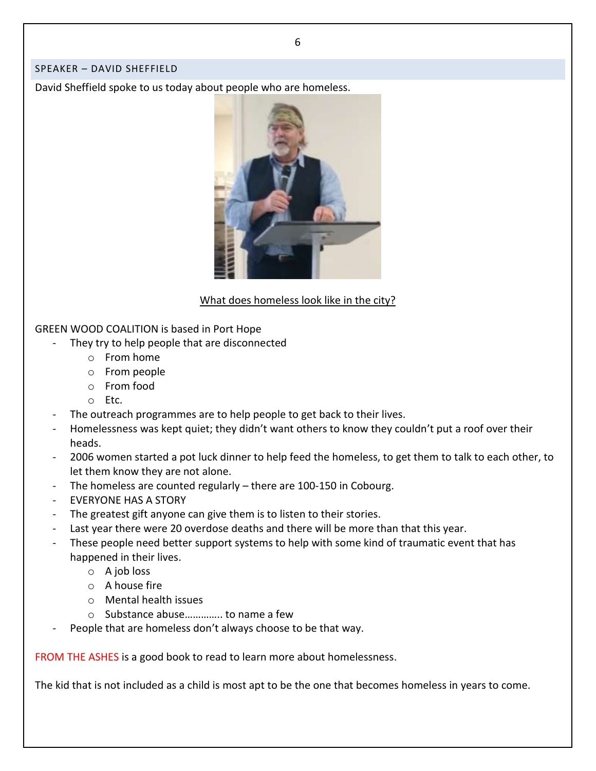#### SPEAKER – DAVID SHEFFIELD

David Sheffield spoke to us today about people who are homeless.



What does homeless look like in the city?

GREEN WOOD COALITION is based in Port Hope

- They try to help people that are disconnected
	- o From home
	- o From people
	- o From food
	- o Etc.
- The outreach programmes are to help people to get back to their lives.
- Homelessness was kept quiet; they didn't want others to know they couldn't put a roof over their heads.
- 2006 women started a pot luck dinner to help feed the homeless, to get them to talk to each other, to let them know they are not alone.
- The homeless are counted regularly  $-$  there are 100-150 in Cobourg.
- EVERYONE HAS A STORY
- The greatest gift anyone can give them is to listen to their stories.
- Last year there were 20 overdose deaths and there will be more than that this year.
- These people need better support systems to help with some kind of traumatic event that has happened in their lives.
	- o A job loss
	- o A house fire
	- o Mental health issues
	- o Substance abuse………….. to name a few
- People that are homeless don't always choose to be that way.

FROM THE ASHES is a good book to read to learn more about homelessness.

The kid that is not included as a child is most apt to be the one that becomes homeless in years to come.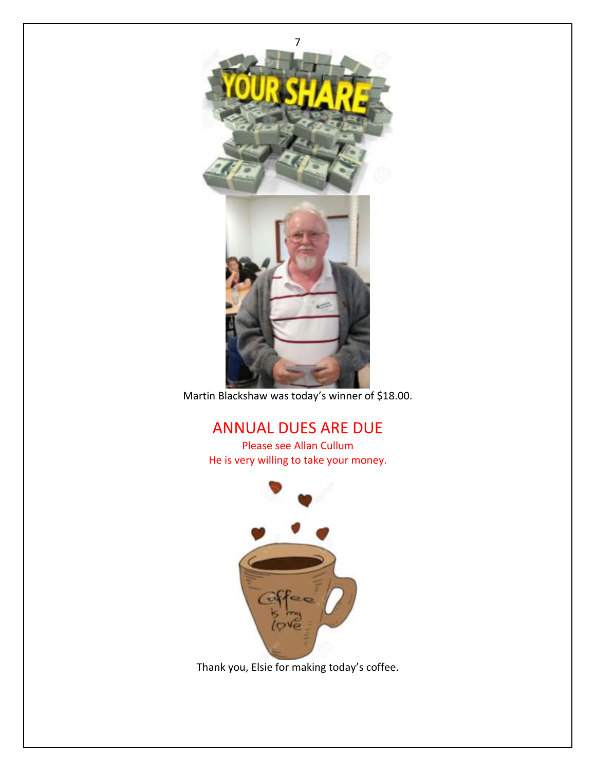

Martin Blackshaw was today's winner of \$18.00.

## ANNUAL DUES ARE DUE

Please see Allan Cullum He is very willing to take your money.



Thank you, Elsie for making today's coffee.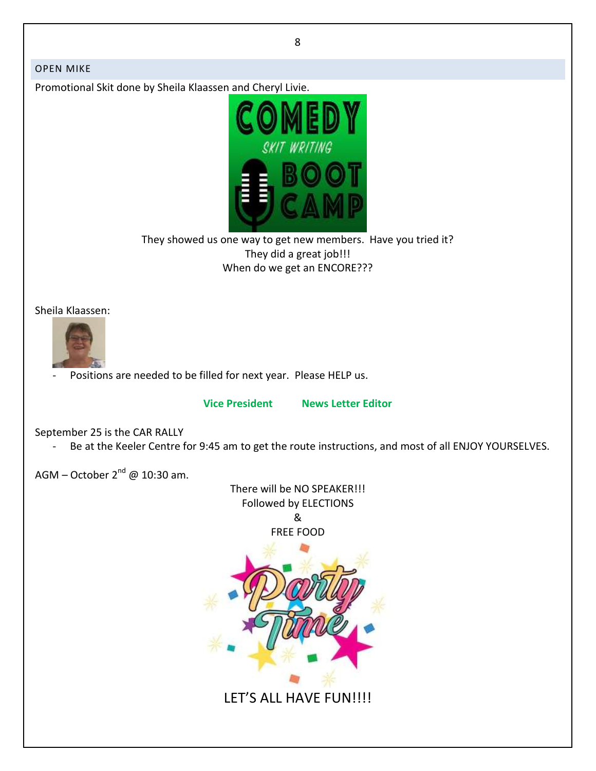8

#### OPEN MIKE

Promotional Skit done by Sheila Klaassen and Cheryl Livie.



They showed us one way to get new members. Have you tried it? They did a great job!!! When do we get an ENCORE???

Sheila Klaassen:



Positions are needed to be filled for next year. Please HELP us.

**Vice President News Letter Editor**

September 25 is the CAR RALLY

- Be at the Keeler Centre for 9:45 am to get the route instructions, and most of all ENJOY YOURSELVES.

AGM – October 2<sup>nd</sup> @ 10:30 am.

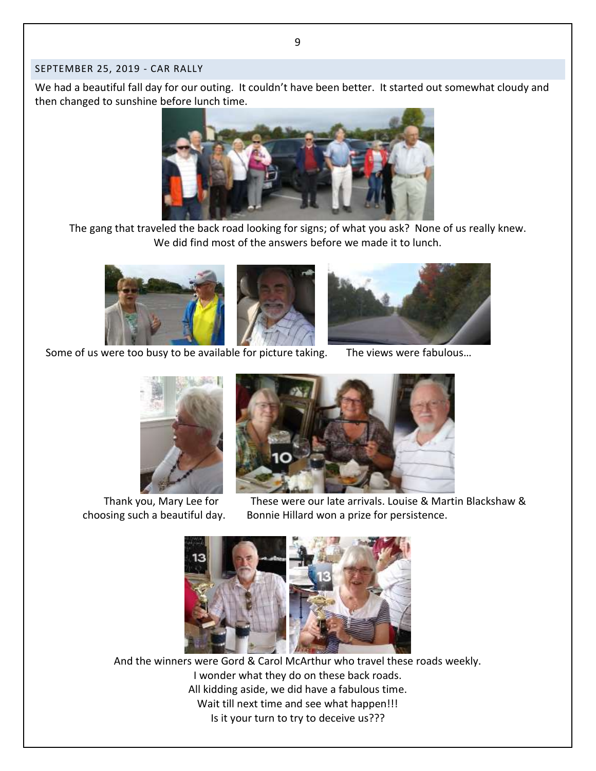#### SEPTEMBER 25, 2019 - CAR RALLY

We had a beautiful fall day for our outing. It couldn't have been better. It started out somewhat cloudy and then changed to sunshine before lunch time.



The gang that traveled the back road looking for signs; of what you ask? None of us really knew. We did find most of the answers before we made it to lunch.





Some of us were too busy to be available for picture taking. The views were fabulous…





Thank you, Mary Lee for These were our late arrivals. Louise & Martin Blackshaw & choosing such a beautiful day. Bonnie Hillard won a prize for persistence.



And the winners were Gord & Carol McArthur who travel these roads weekly. I wonder what they do on these back roads. All kidding aside, we did have a fabulous time. Wait till next time and see what happen!!! Is it your turn to try to deceive us???

9